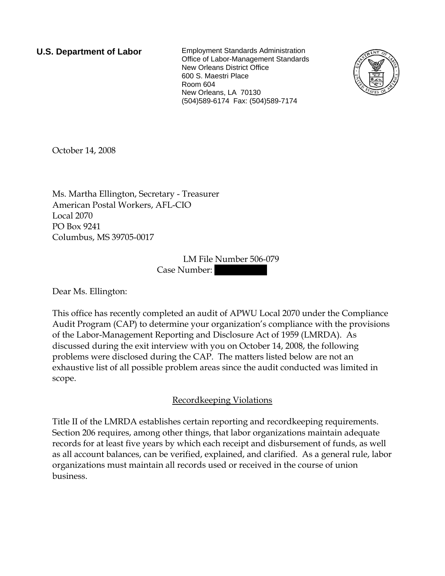**U.S. Department of Labor** Employment Standards Administration Office of Labor-Management Standards New Orleans District Office 600 S. Maestri Place Room 604 New Orleans, LA 70130 (504)589-6174 Fax: (504)589-7174



October 14, 2008

Ms. Martha Ellington, Secretary - Treasurer American Postal Workers, AFL-CIO Local 2070 PO Box 9241 Columbus, MS 39705-0017

> LM File Number 506-079 Case Number:

Dear Ms. Ellington:

This office has recently completed an audit of APWU Local 2070 under the Compliance Audit Program (CAP) to determine your organization's compliance with the provisions of the Labor-Management Reporting and Disclosure Act of 1959 (LMRDA). As discussed during the exit interview with you on October 14, 2008, the following problems were disclosed during the CAP. The matters listed below are not an exhaustive list of all possible problem areas since the audit conducted was limited in scope.

## Recordkeeping Violations

Title II of the LMRDA establishes certain reporting and recordkeeping requirements. Section 206 requires, among other things, that labor organizations maintain adequate records for at least five years by which each receipt and disbursement of funds, as well as all account balances, can be verified, explained, and clarified. As a general rule, labor organizations must maintain all records used or received in the course of union business.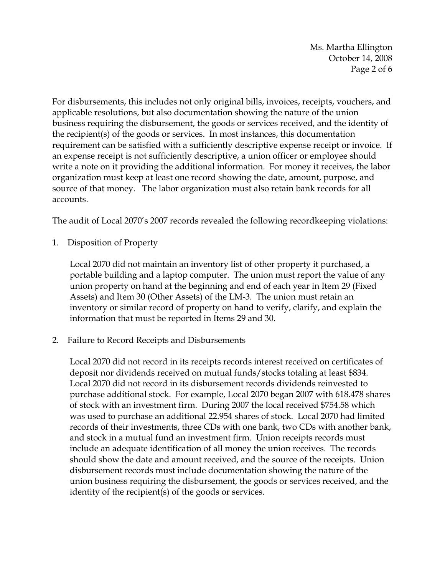Ms. Martha Ellington October 14, 2008 Page 2 of 6

For disbursements, this includes not only original bills, invoices, receipts, vouchers, and applicable resolutions, but also documentation showing the nature of the union business requiring the disbursement, the goods or services received, and the identity of the recipient(s) of the goods or services. In most instances, this documentation requirement can be satisfied with a sufficiently descriptive expense receipt or invoice. If an expense receipt is not sufficiently descriptive, a union officer or employee should write a note on it providing the additional information. For money it receives, the labor organization must keep at least one record showing the date, amount, purpose, and source of that money. The labor organization must also retain bank records for all accounts.

The audit of Local 2070's 2007 records revealed the following recordkeeping violations:

1. Disposition of Property

Local 2070 did not maintain an inventory list of other property it purchased, a portable building and a laptop computer. The union must report the value of any union property on hand at the beginning and end of each year in Item 29 (Fixed Assets) and Item 30 (Other Assets) of the LM-3. The union must retain an inventory or similar record of property on hand to verify, clarify, and explain the information that must be reported in Items 29 and 30.

2. Failure to Record Receipts and Disbursements

Local 2070 did not record in its receipts records interest received on certificates of deposit nor dividends received on mutual funds/stocks totaling at least \$834. Local 2070 did not record in its disbursement records dividends reinvested to purchase additional stock. For example, Local 2070 began 2007 with 618.478 shares of stock with an investment firm. During 2007 the local received \$754.58 which was used to purchase an additional 22.954 shares of stock. Local 2070 had limited records of their investments, three CDs with one bank, two CDs with another bank, and stock in a mutual fund an investment firm. Union receipts records must include an adequate identification of all money the union receives. The records should show the date and amount received, and the source of the receipts. Union disbursement records must include documentation showing the nature of the union business requiring the disbursement, the goods or services received, and the identity of the recipient(s) of the goods or services.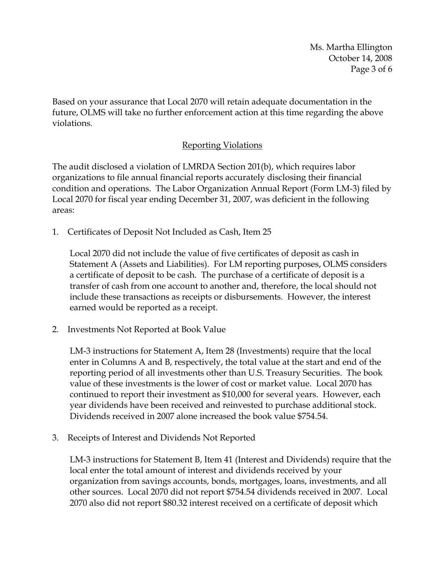Ms. Martha Ellington October 14, 2008 Page 3 of 6

Based on your assurance that Local 2070 will retain adequate documentation in the future, OLMS will take no further enforcement action at this time regarding the above violations.

## Reporting Violations

The audit disclosed a violation of LMRDA Section 201(b), which requires labor organizations to file annual financial reports accurately disclosing their financial condition and operations. The Labor Organization Annual Report (Form LM-3) filed by Local 2070 for fiscal year ending December 31, 2007, was deficient in the following areas:

1. Certificates of Deposit Not Included as Cash, Item 25

Local 2070 did not include the value of five certificates of deposit as cash in Statement A (Assets and Liabilities). For LM reporting purposes, OLMS considers a certificate of deposit to be cash. The purchase of a certificate of deposit is a transfer of cash from one account to another and, therefore, the local should not include these transactions as receipts or disbursements. However, the interest earned would be reported as a receipt.

2. Investments Not Reported at Book Value

LM-3 instructions for Statement A, Item 28 (Investments) require that the local enter in Columns A and B, respectively, the total value at the start and end of the reporting period of all investments other than U.S. Treasury Securities. The book value of these investments is the lower of cost or market value. Local 2070 has continued to report their investment as \$10,000 for several years. However, each year dividends have been received and reinvested to purchase additional stock. Dividends received in 2007 alone increased the book value \$754.54.

3. Receipts of Interest and Dividends Not Reported

LM-3 instructions for Statement B, Item 41 (Interest and Dividends) require that the local enter the total amount of interest and dividends received by your organization from savings accounts, bonds, mortgages, loans, investments, and all other sources. Local 2070 did not report \$754.54 dividends received in 2007. Local 2070 also did not report \$80.32 interest received on a certificate of deposit which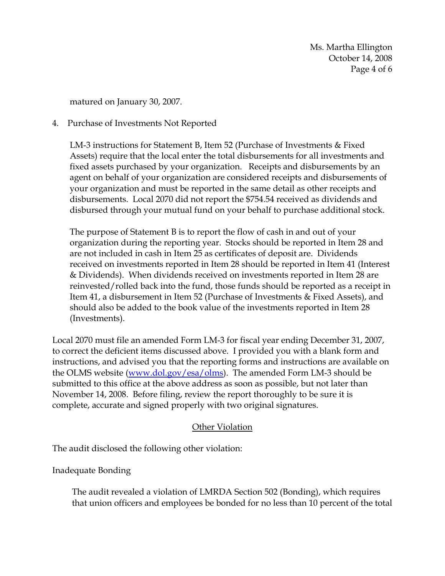Ms. Martha Ellington October 14, 2008 Page 4 of 6

matured on January 30, 2007.

## 4. Purchase of Investments Not Reported

LM-3 instructions for Statement B, Item 52 (Purchase of Investments & Fixed Assets) require that the local enter the total disbursements for all investments and fixed assets purchased by your organization. Receipts and disbursements by an agent on behalf of your organization are considered receipts and disbursements of your organization and must be reported in the same detail as other receipts and disbursements. Local 2070 did not report the \$754.54 received as dividends and disbursed through your mutual fund on your behalf to purchase additional stock.

The purpose of Statement B is to report the flow of cash in and out of your organization during the reporting year. Stocks should be reported in Item 28 and are not included in cash in Item 25 as certificates of deposit are. Dividends received on investments reported in Item 28 should be reported in Item 41 (Interest & Dividends). When dividends received on investments reported in Item 28 are reinvested/rolled back into the fund, those funds should be reported as a receipt in Item 41, a disbursement in Item 52 (Purchase of Investments & Fixed Assets), and should also be added to the book value of the investments reported in Item 28 (Investments).

Local 2070 must file an amended Form LM-3 for fiscal year ending December 31, 2007, to correct the deficient items discussed above. I provided you with a blank form and instructions, and advised you that the reporting forms and instructions are available on the OLMS website (www.dol.gov/esa/olms). The amended Form LM-3 should be submitted to this office at the above address as soon as possible, but not later than November 14, 2008. Before filing, review the report thoroughly to be sure it is complete, accurate and signed properly with two original signatures.

## Other Violation

The audit disclosed the following other violation:

Inadequate Bonding

The audit revealed a violation of LMRDA Section 502 (Bonding), which requires that union officers and employees be bonded for no less than 10 percent of the total